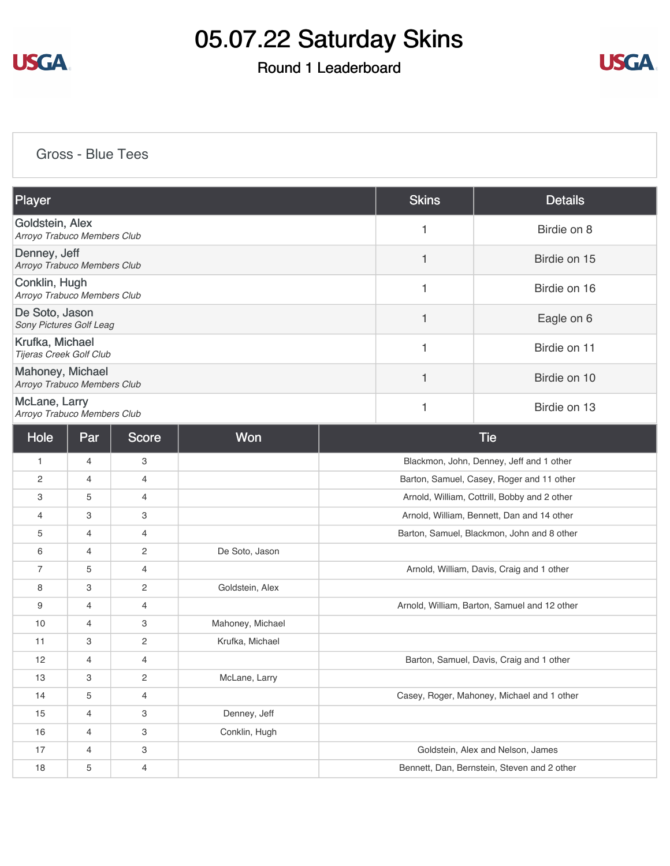

## Round 1 Leaderboard



### [Gross - Blue Tees](https://static.golfgenius.com/v2tournaments/8451003350027100168?called_from=&round_index=1)

| Player                                          |     |                           |                  |   | <b>Skins</b> | <b>Details</b>                               |
|-------------------------------------------------|-----|---------------------------|------------------|---|--------------|----------------------------------------------|
| Goldstein, Alex<br>Arroyo Trabuco Members Club  |     |                           |                  | 1 | Birdie on 8  |                                              |
| Denney, Jeff<br>Arroyo Trabuco Members Club     |     |                           |                  |   | 1            | Birdie on 15                                 |
| Conklin, Hugh<br>Arroyo Trabuco Members Club    |     |                           |                  |   | 1            | Birdie on 16                                 |
| De Soto, Jason<br>Sony Pictures Golf Leag       |     |                           |                  |   | 1            | Eagle on 6                                   |
| Krufka, Michael<br>Tijeras Creek Golf Club      |     |                           |                  |   | 1            | Birdie on 11                                 |
| Mahoney, Michael<br>Arroyo Trabuco Members Club |     |                           |                  |   | 1            | Birdie on 10                                 |
| McLane, Larry<br>Arroyo Trabuco Members Club    |     |                           |                  | 1 | Birdie on 13 |                                              |
| Hole                                            | Par | Score                     | Won              |   |              | <b>Tie</b>                                   |
| 1                                               | 4   | 3                         |                  |   |              | Blackmon, John, Denney, Jeff and 1 other     |
| $\overline{c}$                                  | 4   | 4                         |                  |   |              | Barton, Samuel, Casey, Roger and 11 other    |
| 3                                               | 5   | 4                         |                  |   |              | Arnold, William, Cottrill, Bobby and 2 other |
| 4                                               | 3   | 3                         |                  |   |              | Arnold, William, Bennett, Dan and 14 other   |
| 5                                               | 4   | 4                         |                  |   |              | Barton, Samuel, Blackmon, John and 8 other   |
| 6                                               | 4   | $\sqrt{2}$                | De Soto, Jason   |   |              |                                              |
| $\overline{7}$                                  | 5   | 4                         |                  |   |              | Arnold, William, Davis, Craig and 1 other    |
| 8                                               | 3   | $\overline{c}$            | Goldstein, Alex  |   |              |                                              |
| 9                                               | 4   | 4                         |                  |   |              | Arnold, William, Barton, Samuel and 12 other |
| 10                                              | 4   | 3                         | Mahoney, Michael |   |              |                                              |
| 11                                              | 3   | $\overline{c}$            | Krufka, Michael  |   |              |                                              |
| 12                                              | 4   | 4                         |                  |   |              | Barton, Samuel, Davis, Craig and 1 other     |
| 13                                              | 3   | 2                         | McLane, Larry    |   |              |                                              |
| 14                                              | 5   | $\overline{4}$            |                  |   |              | Casey, Roger, Mahoney, Michael and 1 other   |
| 15                                              | 4   | 3                         | Denney, Jeff     |   |              |                                              |
| 16                                              | 4   | $\ensuremath{\mathsf{3}}$ | Conklin, Hugh    |   |              |                                              |
| 17                                              | 4   | 3                         |                  |   |              | Goldstein, Alex and Nelson, James            |
| 18                                              | 5   | $\overline{4}$            |                  |   |              | Bennett, Dan, Bernstein, Steven and 2 other  |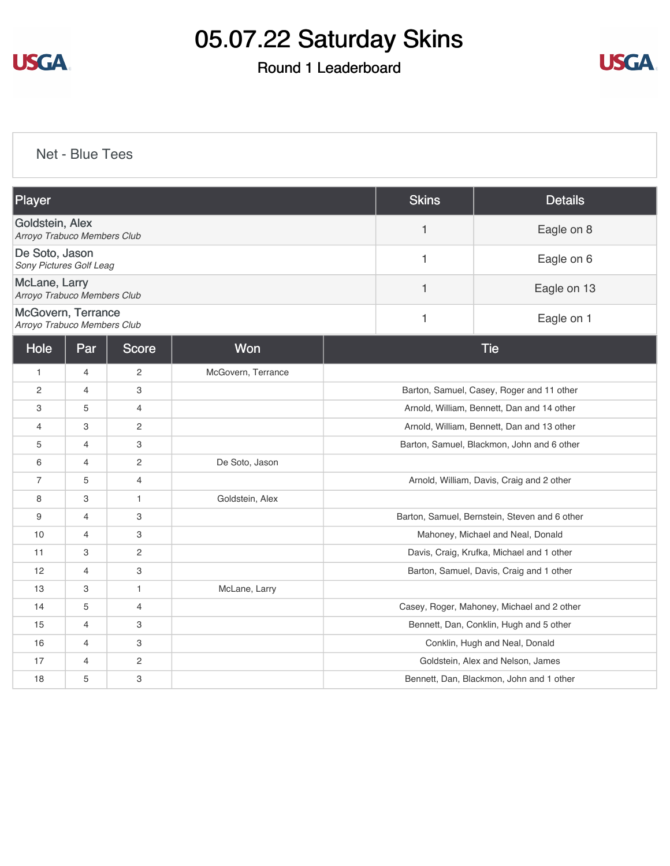

## Round 1 Leaderboard



[Net - Blue Tees](https://static.golfgenius.com/v2tournaments/8451003956389240841?called_from=&round_index=1)

| Player                                            |                |                |                    |                                           | <b>Skins</b> | <b>Details</b>                                |
|---------------------------------------------------|----------------|----------------|--------------------|-------------------------------------------|--------------|-----------------------------------------------|
| Goldstein, Alex<br>Arroyo Trabuco Members Club    |                |                |                    | $\mathbf{1}$                              | Eagle on 8   |                                               |
| De Soto, Jason<br>Sony Pictures Golf Leag         |                |                |                    |                                           | 1            | Eagle on 6                                    |
| McLane, Larry<br>Arroyo Trabuco Members Club      |                |                |                    |                                           | $\mathbf{1}$ | Eagle on 13                                   |
| McGovern, Terrance<br>Arroyo Trabuco Members Club |                |                |                    |                                           | 1            | Eagle on 1                                    |
| Hole                                              | Par            | Score          | Won                |                                           |              | <b>Tie</b>                                    |
| $\mathbf{1}$                                      | 4              | 2              | McGovern, Terrance |                                           |              |                                               |
| 2                                                 | $\overline{4}$ | 3              |                    |                                           |              | Barton, Samuel, Casey, Roger and 11 other     |
| 3                                                 | 5              | $\overline{4}$ |                    |                                           |              | Arnold, William, Bennett, Dan and 14 other    |
| $\overline{4}$                                    | 3              | 2              |                    |                                           |              | Arnold, William, Bennett, Dan and 13 other    |
| 5                                                 | $\overline{4}$ | 3              |                    |                                           |              | Barton, Samuel, Blackmon, John and 6 other    |
| 6                                                 | 4              | $\overline{c}$ | De Soto, Jason     |                                           |              |                                               |
| $\overline{7}$                                    | 5              | $\overline{4}$ |                    |                                           |              | Arnold, William, Davis, Craig and 2 other     |
| 8                                                 | 3              | 1              | Goldstein, Alex    |                                           |              |                                               |
| 9                                                 | $\overline{4}$ | 3              |                    |                                           |              | Barton, Samuel, Bernstein, Steven and 6 other |
| 10                                                | $\overline{4}$ | 3              |                    |                                           |              | Mahoney, Michael and Neal, Donald             |
| 11                                                | 3              | 2              |                    | Davis, Craig, Krufka, Michael and 1 other |              |                                               |
| 12                                                | 4              | 3              |                    |                                           |              | Barton, Samuel, Davis, Craig and 1 other      |
| 13                                                | 3              | $\mathbf{1}$   | McLane, Larry      |                                           |              |                                               |
| 14                                                | 5              | $\overline{4}$ |                    |                                           |              | Casey, Roger, Mahoney, Michael and 2 other    |
| 15                                                | 4              | 3              |                    |                                           |              | Bennett, Dan, Conklin, Hugh and 5 other       |
| 16                                                | $\overline{4}$ | 3              |                    |                                           |              | Conklin, Hugh and Neal, Donald                |
| 17                                                | 4              | 2              |                    |                                           |              | Goldstein, Alex and Nelson, James             |
| 18                                                | 5              | 3              |                    |                                           |              | Bennett, Dan, Blackmon, John and 1 other      |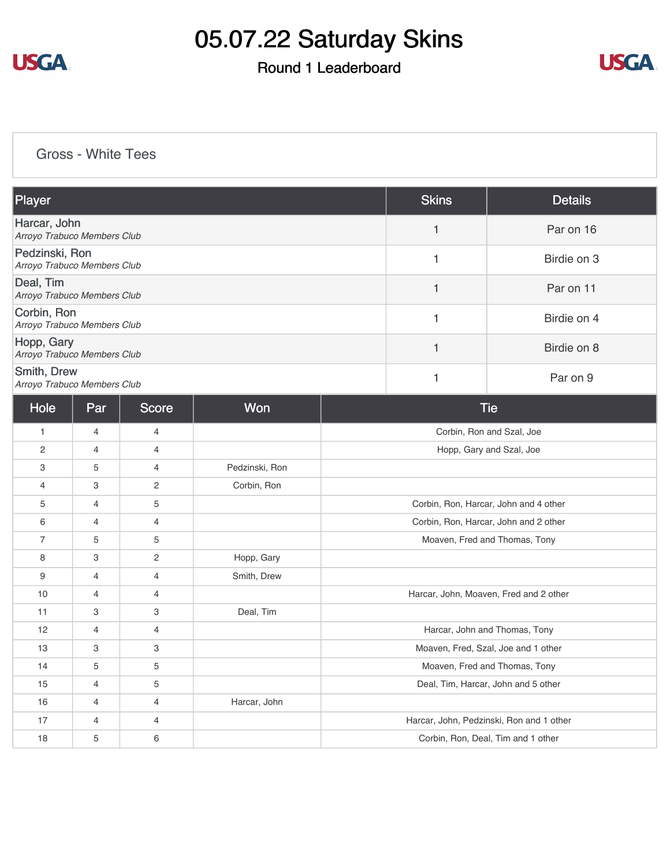

## Round 1 Leaderboard



### [Gross - White Tees](https://static.golfgenius.com/v2tournaments/8451004617478660106?called_from=&round_index=1)

| <b>Player</b>                                 | <b>Skins</b> | <b>Details</b> |
|-----------------------------------------------|--------------|----------------|
| Harcar, John<br>Arroyo Trabuco Members Club   |              | Par on 16      |
| Pedzinski, Ron<br>Arroyo Trabuco Members Club |              | Birdie on 3    |
| Deal, Tim<br>Arroyo Trabuco Members Club      |              | Par on 11      |
| Corbin, Ron<br>Arroyo Trabuco Members Club    |              | Birdie on 4    |
| Hopp, Gary<br>Arroyo Trabuco Members Club     |              | Birdie on 8    |
| Smith, Drew<br>Arroyo Trabuco Members Club    |              | Par on 9       |

| Hole           | Par            | Score          | Won            | <b>Tie</b>                               |
|----------------|----------------|----------------|----------------|------------------------------------------|
| $\mathbf{1}$   | $\overline{4}$ | 4              |                | Corbin, Ron and Szal, Joe                |
| $\overline{c}$ | $\overline{4}$ | 4              |                | Hopp, Gary and Szal, Joe                 |
| 3              | 5              | 4              | Pedzinski, Ron |                                          |
| 4              | 3              | 2              | Corbin, Ron    |                                          |
| 5              | $\overline{4}$ | 5              |                | Corbin, Ron, Harcar, John and 4 other    |
| 6              | $\overline{4}$ | $\overline{4}$ |                | Corbin, Ron, Harcar, John and 2 other    |
| $\overline{7}$ | 5              | 5              |                | Moaven, Fred and Thomas, Tony            |
| 8              | 3              | $\overline{2}$ | Hopp, Gary     |                                          |
| 9              | $\overline{4}$ | $\overline{4}$ | Smith, Drew    |                                          |
| 10             | $\overline{4}$ | 4              |                | Harcar, John, Moaven, Fred and 2 other   |
| 11             | 3              | 3              | Deal, Tim      |                                          |
| 12             | $\overline{4}$ | $\overline{4}$ |                | Harcar, John and Thomas, Tony            |
| 13             | 3              | 3              |                | Moaven, Fred, Szal, Joe and 1 other      |
| 14             | 5              | 5              |                | Moaven, Fred and Thomas, Tony            |
| 15             | $\overline{4}$ | 5              |                | Deal, Tim, Harcar, John and 5 other      |
| 16             | $\overline{4}$ | $\overline{4}$ | Harcar, John   |                                          |
| 17             | $\overline{4}$ | $\overline{4}$ |                | Harcar, John, Pedzinski, Ron and 1 other |
| 18             | 5              | $\,6\,$        |                | Corbin, Ron, Deal, Tim and 1 other       |